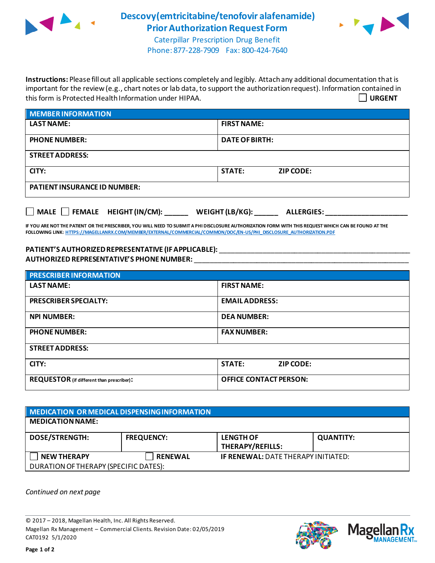

## **Descovy(emtricitabine/tenofovir alafenamide) Prior Authorization Request Form**



Caterpillar Prescription Drug Benefit Phone: 877-228-7909 Fax: 800-424-7640

**Instructions:** Please fill out all applicable sections completely and legibly. Attach any additional documentation that is important for the review (e.g., chart notes or lab data, to support the authorization request). Information contained in this form is Protected Health Information under HIPAA. **URGENT**

| <b>MEMBER INFORMATION</b>           |                                   |  |
|-------------------------------------|-----------------------------------|--|
| <b>LAST NAME:</b>                   | <b>FIRST NAME:</b>                |  |
| <b>PHONE NUMBER:</b>                | <b>DATE OF BIRTH:</b>             |  |
| <b>STREET ADDRESS:</b>              |                                   |  |
| CITY:                               | <b>STATE:</b><br><b>ZIP CODE:</b> |  |
| <b>PATIENT INSURANCE ID NUMBER:</b> |                                   |  |
|                                     |                                   |  |

**IF YOU ARE NOT THE PATIENT OR THE PRESCRIBER, YOU WILL NEED TO SUBMIT A PHI DISCLOSURE AUTHORIZATION FORM WITH THIS REQUEST WHICH CAN BE FOUND AT THE FOLLOWING LINK[: HTTPS://MAGELLANRX.COM/MEMBER/EXTERNAL/COMMERCIAL/COMMON/DOC/EN-US/PHI\\_DISCLOSURE\\_AUTHORIZATION.PDF](https://magellanrx.com/member/external/commercial/common/doc/en-us/PHI_Disclosure_Authorization.pdf)**

**MALE FEMALE HEIGHT (IN/CM): \_\_\_\_\_\_ WEIGHT (LB/KG): \_\_\_\_\_\_ ALLERGIES: \_\_\_\_\_\_\_\_\_\_\_\_\_\_\_\_\_\_\_\_\_**

**PATIENT'S AUTHORIZEDREPRESENTATIVE (IF APPLICABLE):** \_\_\_\_\_\_\_\_\_\_\_\_\_\_\_\_\_\_\_\_\_\_\_\_\_\_\_\_\_\_\_\_\_\_\_\_\_\_\_\_\_\_\_\_\_\_\_\_\_ **AUTHORIZED REPRESENTATIVE'S PHONE NUMBER:** \_\_\_\_\_\_\_\_\_\_\_\_\_\_\_\_\_\_\_\_\_\_\_\_\_\_\_\_\_\_\_\_\_\_\_\_\_\_\_\_\_\_\_\_\_\_\_\_\_\_\_\_\_\_\_

| <b>PRESCRIBER INFORMATION</b>             |                                   |  |  |  |
|-------------------------------------------|-----------------------------------|--|--|--|
| <b>LAST NAME:</b>                         | <b>FIRST NAME:</b>                |  |  |  |
| <b>PRESCRIBER SPECIALTY:</b>              | <b>EMAIL ADDRESS:</b>             |  |  |  |
| <b>NPI NUMBER:</b>                        | <b>DEA NUMBER:</b>                |  |  |  |
| <b>PHONE NUMBER:</b>                      | <b>FAX NUMBER:</b>                |  |  |  |
| <b>STREET ADDRESS:</b>                    |                                   |  |  |  |
| CITY:                                     | <b>STATE:</b><br><b>ZIP CODE:</b> |  |  |  |
| REQUESTOR (if different than prescriber): | <b>OFFICE CONTACT PERSON:</b>     |  |  |  |

| MEDICATION OR MEDICAL DISPENSING INFORMATION |                   |                                            |                  |  |  |
|----------------------------------------------|-------------------|--------------------------------------------|------------------|--|--|
| <b>MEDICATION NAME:</b>                      |                   |                                            |                  |  |  |
| <b>DOSE/STRENGTH:</b>                        | <b>FREQUENCY:</b> | <b>LENGTH OF</b><br>THERAPY/REFILLS:       | <b>QUANTITY:</b> |  |  |
| <b>NEW THERAPY</b>                           | <b>RENEWAL</b>    | <b>IF RENEWAL: DATE THERAPY INITIATED:</b> |                  |  |  |
| DURATION OF THERAPY (SPECIFIC DATES):        |                   |                                            |                  |  |  |

*Continued on next page*

© 2017 – 2018, Magellan Health, Inc. All Rights Reserved. Magellan Rx Management – Commercial Clients. Revision Date: 02/05/2019 CAT0192 5/1/2020